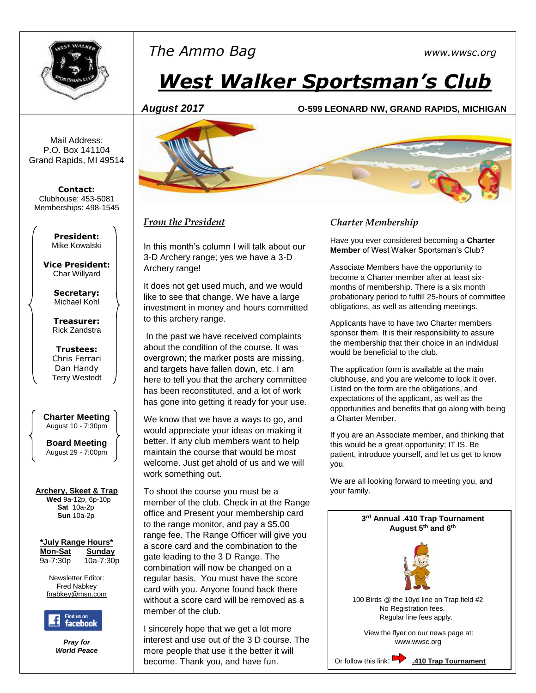

# *The Ammo Bag [www.wwsc.org](http://www.wwsc.org/)*

# *West Walker Sportsman's Club*

#### *August 2017* **O-599 LEONARD NW, GRAND RAPIDS, MICHIGAN**

Mail Address: P.O. Box 141104 Grand Rapids, MI 49514

**Contact:** Clubhouse: 453-5081 Memberships: 498-1545

> **President:** Mike Kowalski

**Vice President:** Char Willyard

> **Secretary:** Michael Kohl

**Treasurer:** Rick Zandstra

**Trustees:** Chris Ferrari Dan Handy Terry Westedt

**Charter Meeting**  August 10 - 7:30pm

**Board Meeting** August 29 - 7:00pm

#### **Archery, Skeet & Trap**

 **Wed** 9a-12p, 6p-10p **Sat** 10a-2p **Sun** 10a-2p

**\*July Range Hours\* Mon-Sat Sunday**

9a-7:30p 10a-7:30p

Newsletter Editor: Fred Nabkey [fnabkey@msn.com](mailto:fnabkey@msn.com)



*Pray for World Peace*



#### *From the President*

In this month's column I will talk about our 3-D Archery range; yes we have a 3-D Archery range!

It does not get used much, and we would like to see that change. We have a large investment in money and hours committed to this archery range.

In the past we have received complaints about the condition of the course. It was overgrown; the marker posts are missing, and targets have fallen down, etc. I am here to tell you that the archery committee has been reconstituted, and a lot of work has gone into getting it ready for your use.

We know that we have a ways to go, and would appreciate your ideas on making it better. If any club members want to help maintain the course that would be most welcome. Just get ahold of us and we will work something out.

To shoot the course you must be a member of the club. Check in at the Range office and Present your membership card to the range monitor, and pay a \$5.00 range fee. The Range Officer will give you a score card and the combination to the gate leading to the 3 D Range. The combination will now be changed on a regular basis. You must have the score card with you. Anyone found back there without a score card will be removed as a member of the club.

I sincerely hope that we get a lot more interest and use out of the 3 D course. The more people that use it the better it will become. Thank you, and have fun.

#### *Charter Membership*

Have you ever considered becoming a **Charter Member** of West Walker Sportsman's Club?

Associate Members have the opportunity to become a Charter member after at least sixmonths of membership. There is a six month probationary period to fulfill 25-hours of committee obligations, as well as attending meetings.

Applicants have to have two Charter members sponsor them. It is their responsibility to assure the membership that their choice in an individual would be beneficial to the club.

The application form is available at the main clubhouse, and you are welcome to look it over. Listed on the form are the obligations, and expectations of the applicant, as well as the opportunities and benefits that go along with being a Charter Member.

If you are an Associate member, and thinking that this would be a great opportunity; IT IS. Be patient, introduce yourself, and let us get to know you.

We are all looking forward to meeting you, and your family.

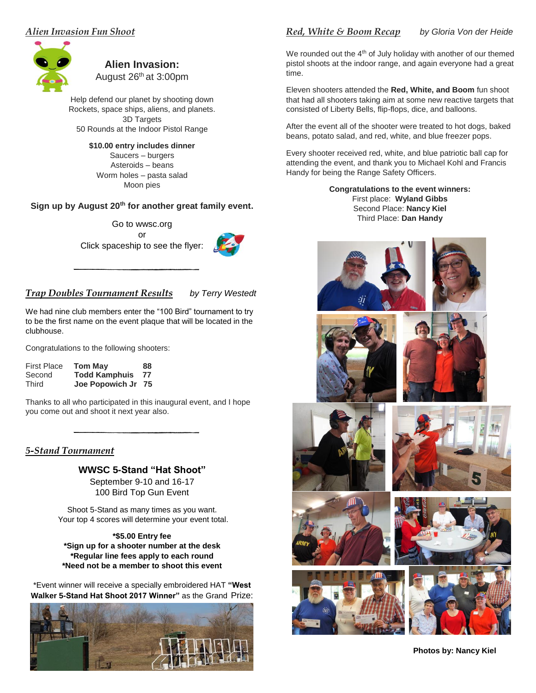#### *Alien Invasion Fun Shoot*



#### **Alien Invasion:** August 26th at 3:00pm

Help defend our planet by shooting down Rockets, space ships, aliens, and planets. 3D Targets 50 Rounds at the Indoor Pistol Range

#### **\$10.00 entry includes dinner**

Saucers – burgers Asteroids – beans Worm holes – pasta salad Moon pies

#### **Sign up by August 20th for another great family event.**

Go to wwsc.org or Click spaceship to see the flyer:



#### *Trap Doubles Tournament Results**by Terry Westedt*

We had nine club members enter the "100 Bird" tournament to try to be the first name on the event plaque that will be located in the clubhouse.

Congratulations to the following shooters:

| <b>First Place</b> | <b>Tom May</b>       | 88 |
|--------------------|----------------------|----|
| Second             | <b>Todd Kamphuis</b> | 77 |
| Third              | Joe Popowich Jr      | 75 |

Thanks to all who participated in this inaugural event, and I hope you come out and shoot it next year also.

#### <u>5-Stand Tournament</u>

#### **WWSC 5-Stand "Hat Shoot"**

September 9-10 and 16-17 100 Bird Top Gun Event

Shoot 5-Stand as many times as you want. Your top 4 scores will determine your event total.

**\*\$5.00 Entry fee \*Sign up for a shooter number at the desk \*Regular line fees apply to each round \*Need not be a member to shoot this event**

\*Event winner will receive a specially embroidered HAT **"West Walker 5-Stand Hat Shoot 2017 Winner"** as the Grand Prize:



### *Red, White & Boom Recap by Gloria Von der Heide*

We rounded out the 4<sup>th</sup> of July holiday with another of our themed pistol shoots at the indoor range, and again everyone had a great time.

Eleven shooters attended the **Red, White, and Boom** fun shoot that had all shooters taking aim at some new reactive targets that consisted of Liberty Bells, flip-flops, dice, and balloons.

After the event all of the shooter were treated to hot dogs, baked beans, potato salad, and red, white, and blue freezer pops.

Every shooter received red, white, and blue patriotic ball cap for attending the event, and thank you to Michael Kohl and Francis Handy for being the Range Safety Officers.

> **Congratulations to the event winners:** First place: **Wyland Gibbs** Second Place: **Nancy Kiel** Third Place: **Dan Handy**



**Photos by: Nancy Kiel**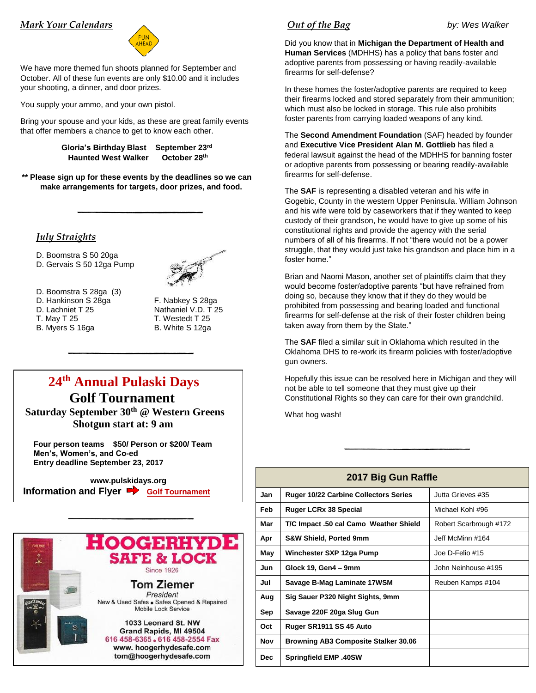#### *Mark Your Calendars*



We have more themed fun shoots planned for September and October. All of these fun events are only \$10.00 and it includes your shooting, a dinner, and door prizes.

You supply your ammo, and your own pistol.

Bring your spouse and your kids, as these are great family events that offer members a chance to get to know each other.

> **Gloria's Birthday Blast September 23rd Haunted West Walker October 28th**

**\*\* Please sign up for these events by the deadlines so we can make arrangements for targets, door prizes, and food.** 

#### *July Straights*

D. Boomstra S 50 20ga

D. Gervais S 50 12ga Pump



- D. Boomstra S 28ga (3)
- 
- 
- 

D. Hankinson S 28ga F. Nabkey S 28ga D. Lachniet T 25 Nathaniel V.D. T 25 T. May T 25 T. Westedt T 25 B. Myers S 16ga B. White S 12ga

## **24th Annual Pulaski Days Golf Tournament Saturday September 30th @ Western Greens**

 **Shotgun start at: 9 am**

 **Four person teams \$50/ Person or \$200/ Team Men's, Women's, and Co-ed Entry deadline September 23, 2017** 

 **www.pulskidays.org Information and Flyer P** [Golf Tournament](http://www.pulaskidays.org/golf-outing)



#### *Out of the Bag* by: Wes Walker

Did you know that in **Michigan the Department of Health and Human Services** (MDHHS) has a policy that bans foster and adoptive parents from possessing or having readily-available firearms for self-defense?

In these homes the foster/adoptive parents are required to keep their firearms locked and stored separately from their ammunition; which must also be locked in storage. This rule also prohibits foster parents from carrying loaded weapons of any kind.

The **Second Amendment Foundation** (SAF) headed by founder and **Executive Vice President Alan M. Gottlieb** has filed a federal lawsuit against the head of the MDHHS for banning foster or adoptive parents from possessing or bearing readily-available firearms for self-defense.

The **SAF** is representing a disabled veteran and his wife in Gogebic, County in the western Upper Peninsula. William Johnson and his wife were told by caseworkers that if they wanted to keep custody of their grandson, he would have to give up some of his constitutional rights and provide the agency with the serial numbers of all of his firearms. If not "there would not be a power struggle, that they would just take his grandson and place him in a foster home."

Brian and Naomi Mason, another set of plaintiffs claim that they would become foster/adoptive parents "but have refrained from doing so, because they know that if they do they would be prohibited from possessing and bearing loaded and functional firearms for self-defense at the risk of their foster children being taken away from them by the State."

The **SAF** filed a similar suit in Oklahoma which resulted in the Oklahoma DHS to re-work its firearm policies with foster/adoptive gun owners.

Hopefully this issue can be resolved here in Michigan and they will not be able to tell someone that they must give up their Constitutional Rights so they can care for their own grandchild.

What hog wash!

| 2017 Big Gun Raffle |                                              |                        |  |  |  |
|---------------------|----------------------------------------------|------------------------|--|--|--|
| Jan                 | <b>Ruger 10/22 Carbine Collectors Series</b> | Jutta Grieves #35      |  |  |  |
| Feb                 | <b>Ruger LCRx 38 Special</b>                 | Michael Kohl #96       |  |  |  |
| Mar                 | T/C Impact .50 cal Camo Weather Shield       | Robert Scarbrough #172 |  |  |  |
| Apr                 | <b>S&amp;W Shield, Ported 9mm</b>            | Jeff McMinn #164       |  |  |  |
| May                 | Winchester SXP 12ga Pump                     | Joe D-Felio #15        |  |  |  |
| Jun                 | Glock 19, Gen4 - 9mm                         | John Neinhouse #195    |  |  |  |
| Jul                 | Savage B-Mag Laminate 17WSM                  | Reuben Kamps #104      |  |  |  |
| Aug                 | Sig Sauer P320 Night Sights, 9mm             |                        |  |  |  |
| Sep                 | Savage 220F 20ga Slug Gun                    |                        |  |  |  |
| Oct                 | Ruger SR1911 SS 45 Auto                      |                        |  |  |  |
| Nov                 | <b>Browning AB3 Composite Stalker 30.06</b>  |                        |  |  |  |
| Dec.                | <b>Springfield EMP .40SW</b>                 |                        |  |  |  |